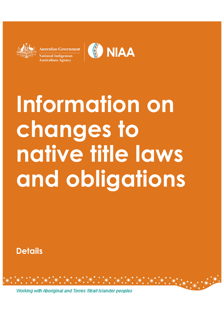**Australian Government** tional Indigenous **Australians Agency** 



# **Information on changes to native title laws and obligations**

**Details**

Working with Aboriginal and Torres Strait Islander peoples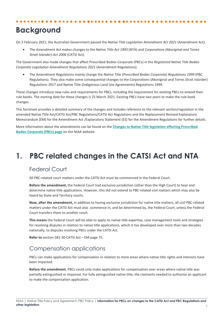# **Background**

On 3 February 2021, the Australian Government passed the *Native Title Legislation Amendment Act 2021* (Amendment Act).

• The Amendment Act makes changes to the *Native Title Act 1993* (NTA) and *Corporations (Aboriginal and Torres Strait Islander) Act 2006* (CATSI Act).

The Government also made changes that affect Prescribed Bodies Corporate (PBCs) in the *Registered Native Title Bodies Corporate Legislation Amendment Regulations 2021* (Amendment Regulations).

• The Amendment Regulations mainly change the *Native Title* (*Prescribed Bodies Corporate) Regulations 1999* (PBC Regulations). They also make some consequential changes to the Corporations (Aboriginal and Torres Strait Islander) Regulations 2017 and Native Title (Indigenous Land Use Agreements) Regulations 1999.

These changes introduce new rules and requirements for PBCs, including the requirement for existing PBCs to amend their rule books. The starting date for these changes is 25 March 2021. Existing PBCs have two years to make the rule book changes.

This factsheet provides a detailed summary of the changes and includes reference to the relevant section/regulation in the amended Native Title Act/CATSI Act/PBC Regulations/CATSI Act Regulations and the Replacement Revised Explanatory Memorandum (EM) for the Amendment Act /Explanatory Statement (ES) for the Amendment Regulations for further details.

More information about the amendments can be found on the **[Changes to Native Title legislation affecting Prescribed](https://www.niaa.gov.au/resource-centre/indigenous-affairs/changes-native-title-legislation-affecting-pbcs)  [Bodies Corporate \(PBCs\) page](https://www.niaa.gov.au/resource-centre/indigenous-affairs/changes-native-title-legislation-affecting-pbcs)** on the NIAA website.

# **1. PBC related changes in the CATSI Act and NTA**

# Federal Court

All PBC-related court matters under the CATSI Act must be commenced in the Federal Court.

**Before the amendment,** the Federal Court had exclusive jurisdiction (other than the High Court) to hear and determine native title applications. However, this did not extend to PBC-related civil matters which may also be heard by State and Territory courts.

**Now, after the amendment,** in addition to having exclusive jurisdiction for native title matters, all civil PBC-related matters under the CATSI Act must also commence in, and be determined by, the Federal Court, unless the Federal Court transfers them to another court.

**This means** the Federal Court will be able to apply its native title expertise, case management tools and strategies for resolving disputes in relation to native title applications, which it has developed over more than two decades nationally, to disputes involving PBCs under the CATSI Act.

**Refer to** section 581-30 CATSI Act – EM page 75.

# Compensation applications

PBCs can make applications for compensation in relation to more areas where native title rights and interests have been impacted.

**Before the amendment**, PBCs could only make applications for compensation over areas where native title was partially extinguished or impaired. For fully extinguished native title, the claimants needed to authorise an applicant to make the compensation application.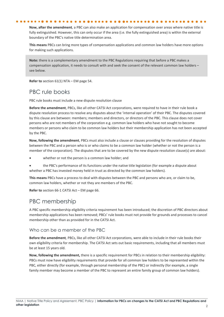**Now, after the amendment***,* a PBC can also make an application for compensation over areas where native title is fully extinguished. However, this can only occur if the area (i.e. the fully extinguished area) is within the external boundary of the PBC's native title determination area.

**This means** PBCs can bring more types of compensation applications and common law holders have more options for making such applications.

**Note:** there is a complementary amendment to the PBC Regulations requiring that before a PBC makes a compensation application, it needs to consult with and seek the consent of the relevant common law holders – see below.

**Refer to** section 61(1) NTA – EM page 54.

# PBC rule books

PBC rule books must include a new dispute resolution clause

**Before the amendment**, PBCs, like all other CATSI Act corporations, were required to have in their rule book a dispute resolution process to resolve any disputes about the 'internal operation' of their PBC. The disputes covered by this clause are between: members; members and directors, or directors of the PBC. This clause does not cover persons who are not members of the corporation e.g. common law holders who have not sought to become members or persons who claim to be common law holders but their membership application has not been accepted by the PBC.

**Now, following the amendment**, PBCs must also include a clause or clauses providing for the resolution of disputes between the PBC and a person who is or who claims to be a common law holder (whether or not the person is a member of the corporation). The disputes that are to be covered by the new dispute resolution clause(s) are about:

whether or not the person is a common law holder; and

• the PBC's performance of its functions under the native title legislation (for example a dispute about whether a PBC has invested money held in trust as directed by the common law holders).

**This means** PBCs have a process to deal with disputes between the PBC and persons who are, or claim to be, common law holders, whether or not they are members of the PBC.

**Refer to** section 66-1 CATSI Act – EM page 66.

## PBC membership

A PBC specific membership eligibility criteria requirement has been introduced; the discretion of PBC directors about membership applications has been removed; PBCs' rule books must not provide for grounds and processes to cancel membership other than as provided for in the CATSI Act.

#### Who can be a member of the PBC

**Before the amendment***,* PBCs, like all other CATSI Act corporations, were able to include in their rule books their own eligibility criteria for membership. The CATSI Act sets out basic requirements, including that all members must be at least 15 years old.

**Now, following the amendment,** there is a specific requirement for PBCs in relation to their membership eligibility: PBCs must now have eligibility requirements that provide for all common law holders to be represented within the PBC, either directly (for example, through personal membership of the PBC) or indirectly (for example, a single family member may become a member of the PBC to represent an entire family group of common law holders).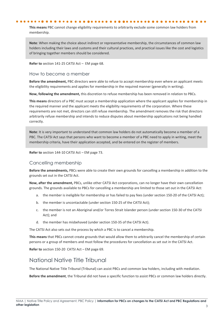**This means** PBC cannot change eligibility requirements to arbitrarily exclude some common law holders from membership.

**Note**: When making the choice about indirect or representative membership, the circumstances of common law holders including their laws and customs and their cultural practices, and practical issues like the cost and logistics of bringing together members should be considered.

**Refer to** section 141-25 CATSI Act – EM page 68.

#### How to become a member

**Before the amendment,** PBC directors were able to refuse to accept membership even where an applicant meets the eligibility requirements and applies for membership in the required manner (generally in writing).

**Now, following the amendment,** this discretion to refuse membership has been removed in relation to PBCs.

**This means** directors of a PBC must accept a membership application where the applicant applies for membership in the required manner and the applicant meets the eligibility requirements of the corporation. Where these requirements are not met, directors can still refuse membership. The amendment removes the risk that directors arbitrarily refuse membership and intends to reduce disputes about membership applications not being handled correctly.

**Note**: It is very important to understand that common law holders do not automatically become a member of a PBC. The CATSI Act says that persons who want to become a member of a PBC need to apply in writing, meet the membership criteria, have their application accepted, and be entered on the register of members.

**Refer to** section 144-10 CATSI Act – EM page 73.

#### Cancelling membership

**Before the amendments,** PBCs were able to create their own grounds for cancelling a membership in addition to the grounds set out in the CATSI Act.

**Now, after the amendment,** PBCs, unlike other CATSI Act corporations, can no longer have their own cancellation grounds. The grounds available to PBCs for cancelling a membership are limited to those set out in the CATSI Act:

- a. the member is ineligible for membership or has failed to pay fees (under section 150-20 of the CATSI Act);
- b. the member is uncontactable (under section 150-25 of the CATSI Act);
- c. the member is not an Aboriginal and/or Torres Strait Islander person (under section 150-30 of the CATSI Act); and
- d. the member has misbehaved (under section 150-35 of the CATSI Act).

The CATSI Act also sets out the process by which a PBC is to cancel a membership.

**This means** that PBCs cannot create grounds that would allow them to arbitrarily cancel the membership of certain persons or a group of members and must follow the procedures for cancellation as set out in the CATSI Act.

**Refer to** section 150-20 CATSI Act – EM page 69.

### National Native Title Tribunal

The National Native Title Tribunal (Tribunal) can assist PBCs and common law holders, including with mediation.

**Before the amendment**, the Tribunal did not have a specific function to assist PBCs or common law holders directly.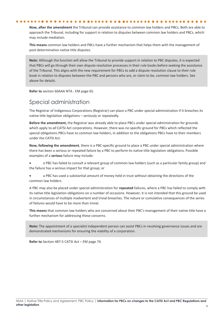**Now, after the amendment** the Tribunal can provide assistance to common law holders and PBCs. Both are able to approach the Tribunal, including for support in relation to disputes between common law holders and PBCs, which may include mediation.

**This means** common law holders and PBCs have a further mechanism that helps them with the management of post-determination native title disputes.

**Note**: Although the function will allow the Tribunal to provide support in relation to PBC disputes, it is expected that PBCs will go through their own dispute resolution processes in their rule books before seeking the assistance of the Tribunal. This aligns with the new requirement for PBCs to add a dispute resolution clause to their rule book in relation to disputes between the PBC and persons who are, or claim to be, common law holders. See above for details.

**Refer to** section 60AAA NTA - EM page 65.

# Special administration

The Registrar of Indigenous Corporations (Registrar) can place a PBC under special administration if it breaches its native title legislation obligations – seriously or repeatedly.

**Before the amendment,** the Registrar was already able to place PBCs under special administration for grounds which apply to *all* CATSI Act corporations. However, there was no specific ground for PBCs which reflected the special obligations PBCs have to common law holders, in addition to the obligations PBCs have to their members under the CATSI Act.

**Now, following the amendment***,* there is a PBC-specific ground to place a PBC under special administration where there has been a serious or repeated failure by a PBC to perform its native title legislation obligations. Possible examples of a **serious** failure may include:

• a PBC has failed to consult a relevant group of common law holders (such as a particular family group) and the failure has a serious impact for that group; or

a PBC has used a substantial amount of money held in trust without obtaining the directions of the common law holders.

A PBC may also be placed under special administration for **repeated** failures, where a PBC has failed to comply with its native title legislation obligations on a number of occasions. However, it is not intended that this ground be used in circumstances of multiple inadvertent and trivial breaches. The nature or cumulative consequences of the series of failures would have to be more than trivial.

**This means** that common law holders who are concerned about their PBC's management of their native title have a further mechanism for addressing these concerns.

**Note:** The appointment of a specialist independent person can assist PBCs in resolving governance issues and are demonstrated mechanisms for ensuring the viability of a corporation.

**Refer to** [Section 487-5 CATSI Act – EM page 74.](https://www.aph.gov.au/Parliamentary_Business/Bills_Legislation/Bills_Search_Results/Result?bId=r6429)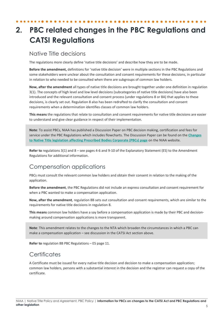# **2. PBC related changes in the PBC Regulations and CATSI Regulations**

## Native Title decisions

The regulations more clearly define 'native title decisions' and describe how they are to be made.

**Before the amendment,** definitions for 'native title decision' were in multiple sections in the PBC Regulations and some stakeholders were unclear about the consultation and consent requirements for these decisions, in particular in relation to who needed to be consulted when there are subgroups of common law holders.

**Now, after the amendment** all types of native title decisions are brought together under one definition in regulation 3(1). The concepts of high level and low level decisions (subcategories of native title decisions) have also been introduced and the relevant consultation and consent process (under regulations 8 or 8A) that applies to these decisions, is clearly set out. Regulation 8 also has been redrafted to clarify the consultation and consent requirements when a determination identifies classes of common law holders.

**This means** the regulations that relate to consultation and consent requirements for native title decisions are easier to understand and give clear guidance in respect of their implementation.

**Note**: To assist PBCs, NIAA has published a Discussion Paper on PBC decision making, certification and fees for service under the PBC Regulations which includes flowcharts. The Discussion Paper can be found on the **[Changes](https://www.niaa.gov.au/resource-centre/indigenous-affairs/changes-native-title-legislation-affecting-pbcs)  [to Native Title legislation affecting Prescribed Bodies Corporate \(PBCs\) page](https://www.niaa.gov.au/resource-centre/indigenous-affairs/changes-native-title-legislation-affecting-pbcs)** on the NIAA website.

**Refer to** regulations 3(1) and 8 – see pages 4-6 and 9-10 of the Explanatory Statement (ES) to the Amendment Regulations for additional information.

# Compensation applications

PBCs must consult the relevant common law holders and obtain their consent in relation to the making of the application.

**Before the amendment**, the PBC Regulations did not include an express consultation and consent requirement for when a PBC wanted to make a compensation application.

**Now, after the amendment***,* regulation 8B sets out consultation and consent requirements, which are similar to the requirements for native title decisions in regulation 8.

**This means** common law holders have a say before a compensation application is made by their PBC and decisionmaking around compensation applications is more transparent.

**Note**: This amendment relates to the changes to the NTA which broaden the circumstances in which a PBC can make a compensation application – see discussion in the CATSI Act section above.

**Refer to** regulation 8B PBC Regulations – ES page 11.

# **Certificates**

A Certificate must be issued for every native title decision and decision to make a compensation application; common law holders, persons with a substantial interest in the decision and the registrar can request a copy of the certificate.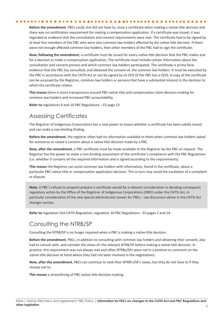**Before the amendment***,* PBCs could, but did not have to, issue a certificate when making a native title decision and there was no certification requirement for making a compensation application. If a certificate was issued, it was regarded as evidence that the consultation and consent requirements were met. The certificate had to be signed by at least five members of the PBC who were also common law holders affected by the native title decision. If there were not enough affected common law holders, then other members of the PBC had to sign the certificate.

**Now, following the amendment**, a certificate must be issued for every native title decision that the PBC makes and for a decision to make a compensation application. The certificate must include certain information about the consultation and consent process and which common law holders participated. The certificate is prima facie evidence that the PBC has consulted, and obtained the consent of, the common law holders. It must be executed by the PBC in accordance with the CATSI Act or can be signed by its CEO (if the PBC has a CEO). A copy of the certificate can be accessed by the Registrar, common law holders or persons that have a substantial interest in the decision to which the certificate relates.

**This means** there is more transparency around PBC native title and compensation claim decision-making for common law holders and increased PBC accountability.

**Refer to** regulations 9 and 10 PBC Regulations – ES page 13.

# Assessing Certificates

The Registrar of Indigenous Corporations has a new power to assess whether a certificate has been validly issued and can make a non-binding finding.

**Before the amendment**, the registrar often had no information available to them when common law holders asked for assistance or raised a concern about a native title decision made by a PBC.

**Now, after the amendment**, a PBC certificate must be made available to the Registrar by the PBC on request. The Registrar has the power to make a non-binding assessment of the certificate's compliance with the PBC Regulations (i.e. whether it contains all the required information and is signed according to the requirements).

**This means** the Registrar can assist common law holders with information, found in the certificate, about a particular PBC native title or compensation application decision. This in turn may avoid the escalation of a complaint or dispute.

**Note:** A PBC's refusal to properly prepare a certificate would be a relevant consideration in deciding consequent regulatory action by the Office of the Registrar of Indigenous Corporations (ORIC) under the CATSI Act, in particular consideration of the new special administrator power for PBCs – see discussion above in the CATSI Act changes section.

**Refer to** regulation 55A CATSI Regulation, regulation 10 PBC Regulations - ES pages 2 and 14.

## Consulting the NTRB/SP

Consulting the NTRB/SP is no longer required when a PBC is making a native title decision.

**Before the amendment**, PBCs, in addition to consulting with common law holders and obtaining their consent, also had to consult with, and consider the views of, the relevant NTRB/SP before making a native title decision. In practice, this requirement was not always met and often NTRBs/SPs were not in a position to comment on the native title decision at hand where they had not been involved in the negotiations.

**Now, after the amendment**, PBCs can continue to seek their NTRB's/SP's views, but they do not have to if they choose not to.

**This means** a streamlining of PBC native title decision-making.